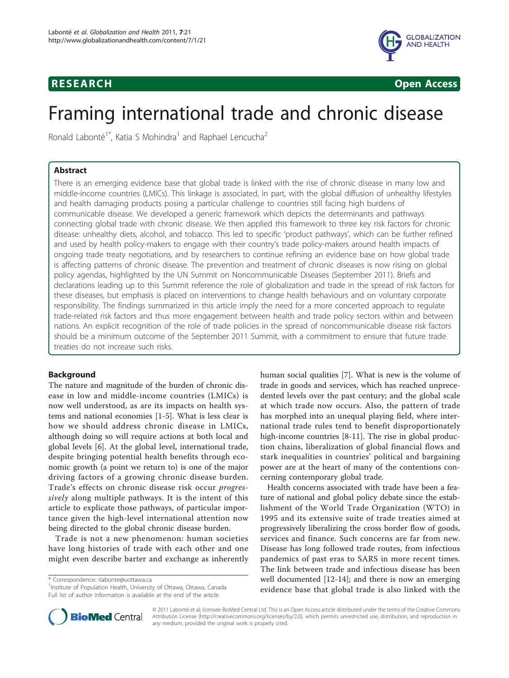## **RESEARCH CONSIDERED ACCESS**



# Framing international trade and chronic disease

Ronald Labonté<sup>1\*</sup>, Katia S Mohindra<sup>1</sup> and Raphael Lencucha<sup>2</sup>

## Abstract

There is an emerging evidence base that global trade is linked with the rise of chronic disease in many low and middle-income countries (LMICs). This linkage is associated, in part, with the global diffusion of unhealthy lifestyles and health damaging products posing a particular challenge to countries still facing high burdens of communicable disease. We developed a generic framework which depicts the determinants and pathways connecting global trade with chronic disease. We then applied this framework to three key risk factors for chronic disease: unhealthy diets, alcohol, and tobacco. This led to specific 'product pathways', which can be further refined and used by health policy-makers to engage with their country's trade policy-makers around health impacts of ongoing trade treaty negotiations, and by researchers to continue refining an evidence base on how global trade is affecting patterns of chronic disease. The prevention and treatment of chronic diseases is now rising on global policy agendas, highlighted by the UN Summit on Noncommunicable Diseases (September 2011). Briefs and declarations leading up to this Summit reference the role of globalization and trade in the spread of risk factors for these diseases, but emphasis is placed on interventions to change health behaviours and on voluntary corporate responsibility. The findings summarized in this article imply the need for a more concerted approach to regulate trade-related risk factors and thus more engagement between health and trade policy sectors within and between nations. An explicit recognition of the role of trade policies in the spread of noncommunicable disease risk factors should be a minimum outcome of the September 2011 Summit, with a commitment to ensure that future trade treaties do not increase such risks.

## Background

The nature and magnitude of the burden of chronic disease in low and middle-income countries (LMICs) is now well understood, as are its impacts on health systems and national economies [[1-5](#page-12-0)]. What is less clear is how we should address chronic disease in LMICs, although doing so will require actions at both local and global levels [\[6](#page-12-0)]. At the global level, international trade, despite bringing potential health benefits through economic growth (a point we return to) is one of the major driving factors of a growing chronic disease burden. Trade's effects on chronic disease risk occur progressively along multiple pathways. It is the intent of this article to explicate those pathways, of particular importance given the high-level international attention now being directed to the global chronic disease burden.

Trade is not a new phenomenon: human societies have long histories of trade with each other and one might even describe barter and exchange as inherently

\* Correspondence: [rlabonte@uottawa.ca](mailto:rlabonte@uottawa.ca)

<sup>1</sup>Institute of Population Health, University of Ottawa, Ottawa, Canada Full list of author information is available at the end of the article



Health concerns associated with trade have been a feature of national and global policy debate since the establishment of the World Trade Organization (WTO) in 1995 and its extensive suite of trade treaties aimed at progressively liberalizing the cross border flow of goods, services and finance. Such concerns are far from new. Disease has long followed trade routes, from infectious pandemics of past eras to SARS in more recent times. The link between trade and infectious disease has been well documented [[12-14](#page-12-0)]; and there is now an emerging evidence base that global trade is also linked with the



© 2011 Labonté et al; licensee BioMed Central Ltd. This is an Open Access article distributed under the terms of the Creative Commons Attribution License [\(http://creativecommons.org/licenses/by/2.0](http://creativecommons.org/licenses/by/2.0)), which permits unrestricted use, distribution, and reproduction in any medium, provided the original work is properly cited.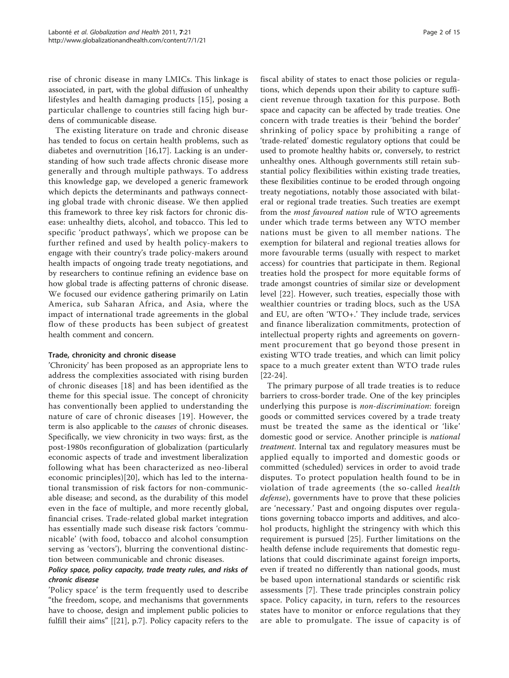rise of chronic disease in many LMICs. This linkage is associated, in part, with the global diffusion of unhealthy lifestyles and health damaging products [[15](#page-12-0)], posing a particular challenge to countries still facing high burdens of communicable disease.

The existing literature on trade and chronic disease has tended to focus on certain health problems, such as diabetes and overnutrition [\[16,17](#page-12-0)]. Lacking is an understanding of how such trade affects chronic disease more generally and through multiple pathways. To address this knowledge gap, we developed a generic framework which depicts the determinants and pathways connecting global trade with chronic disease. We then applied this framework to three key risk factors for chronic disease: unhealthy diets, alcohol, and tobacco. This led to specific 'product pathways', which we propose can be further refined and used by health policy-makers to engage with their country's trade policy-makers around health impacts of ongoing trade treaty negotiations, and by researchers to continue refining an evidence base on how global trade is affecting patterns of chronic disease. We focused our evidence gathering primarily on Latin America, sub Saharan Africa, and Asia, where the impact of international trade agreements in the global flow of these products has been subject of greatest health comment and concern.

#### Trade, chronicity and chronic disease

'Chronicity' has been proposed as an appropriate lens to address the complexities associated with rising burden of chronic diseases [[18\]](#page-12-0) and has been identified as the theme for this special issue. The concept of chronicity has conventionally been applied to understanding the nature of care of chronic diseases [[19](#page-12-0)]. However, the term is also applicable to the causes of chronic diseases. Specifically, we view chronicity in two ways: first, as the post-1980s reconfiguration of globalization (particularly economic aspects of trade and investment liberalization following what has been characterized as neo-liberal economic principles)[[20](#page-12-0)], which has led to the international transmission of risk factors for non-communicable disease; and second, as the durability of this model even in the face of multiple, and more recently global, financial crises. Trade-related global market integration has essentially made such disease risk factors 'communicable' (with food, tobacco and alcohol consumption serving as 'vectors'), blurring the conventional distinction between communicable and chronic diseases.

## Policy space, policy capacity, trade treaty rules, and risks of chronic disease

'Policy space' is the term frequently used to describe "the freedom, scope, and mechanisms that governments have to choose, design and implement public policies to fulfill their aims" [[\[21\]](#page-12-0), p.7]. Policy capacity refers to the

fiscal ability of states to enact those policies or regulations, which depends upon their ability to capture sufficient revenue through taxation for this purpose. Both space and capacity can be affected by trade treaties. One concern with trade treaties is their 'behind the border' shrinking of policy space by prohibiting a range of 'trade-related' domestic regulatory options that could be used to promote healthy habits or, conversely, to restrict unhealthy ones. Although governments still retain substantial policy flexibilities within existing trade treaties, these flexibilities continue to be eroded through ongoing treaty negotiations, notably those associated with bilateral or regional trade treaties. Such treaties are exempt from the most favoured nation rule of WTO agreements under which trade terms between any WTO member nations must be given to all member nations. The exemption for bilateral and regional treaties allows for more favourable terms (usually with respect to market access) for countries that participate in them. Regional treaties hold the prospect for more equitable forms of trade amongst countries of similar size or development level [\[22](#page-12-0)]. However, such treaties, especially those with wealthier countries or trading blocs, such as the USA and EU, are often 'WTO+.' They include trade, services and finance liberalization commitments, protection of intellectual property rights and agreements on government procurement that go beyond those present in existing WTO trade treaties, and which can limit policy space to a much greater extent than WTO trade rules [[22-24\]](#page-12-0).

The primary purpose of all trade treaties is to reduce barriers to cross-border trade. One of the key principles underlying this purpose is *non-discrimination*: foreign goods or committed services covered by a trade treaty must be treated the same as the identical or 'like' domestic good or service. Another principle is national treatment. Internal tax and regulatory measures must be applied equally to imported and domestic goods or committed (scheduled) services in order to avoid trade disputes. To protect population health found to be in violation of trade agreements (the so-called health defense), governments have to prove that these policies are 'necessary.' Past and ongoing disputes over regulations governing tobacco imports and additives, and alcohol products, highlight the stringency with which this requirement is pursued [[25\]](#page-12-0). Further limitations on the health defense include requirements that domestic regulations that could discriminate against foreign imports, even if treated no differently than national goods, must be based upon international standards or scientific risk assessments [\[7](#page-12-0)]. These trade principles constrain policy space. Policy capacity, in turn, refers to the resources states have to monitor or enforce regulations that they are able to promulgate. The issue of capacity is of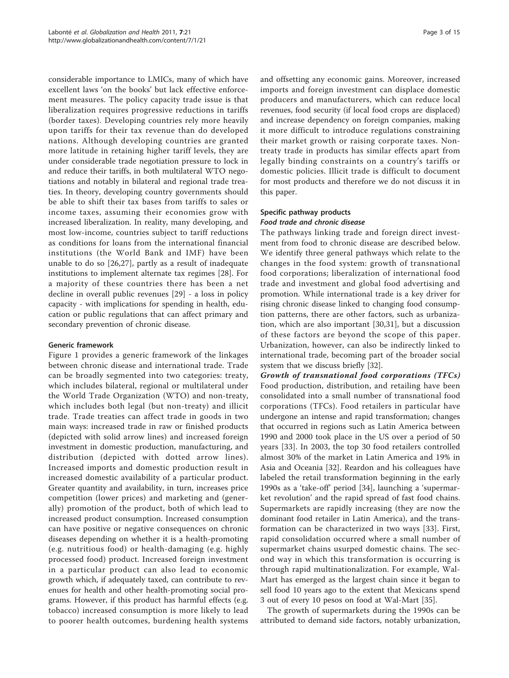considerable importance to LMICs, many of which have excellent laws 'on the books' but lack effective enforcement measures. The policy capacity trade issue is that liberalization requires progressive reductions in tariffs (border taxes). Developing countries rely more heavily upon tariffs for their tax revenue than do developed nations. Although developing countries are granted more latitude in retaining higher tariff levels, they are under considerable trade negotiation pressure to lock in and reduce their tariffs, in both multilateral WTO negotiations and notably in bilateral and regional trade treaties. In theory, developing country governments should be able to shift their tax bases from tariffs to sales or income taxes, assuming their economies grow with increased liberalization. In reality, many developing, and most low-income, countries subject to tariff reductions as conditions for loans from the international financial institutions (the World Bank and IMF) have been unable to do so [\[26,27](#page-12-0)], partly as a result of inadequate institutions to implement alternate tax regimes [\[28\]](#page-12-0). For a majority of these countries there has been a net decline in overall public revenues [[29](#page-12-0)] - a loss in policy capacity - with implications for spending in health, education or public regulations that can affect primary and secondary prevention of chronic disease.

## Generic framework

Figure [1](#page-3-0) provides a generic framework of the linkages between chronic disease and international trade. Trade can be broadly segmented into two categories: treaty, which includes bilateral, regional or multilateral under the World Trade Organization (WTO) and non-treaty, which includes both legal (but non-treaty) and illicit trade. Trade treaties can affect trade in goods in two main ways: increased trade in raw or finished products (depicted with solid arrow lines) and increased foreign investment in domestic production, manufacturing, and distribution (depicted with dotted arrow lines). Increased imports and domestic production result in increased domestic availability of a particular product. Greater quantity and availability, in turn, increases price competition (lower prices) and marketing and (generally) promotion of the product, both of which lead to increased product consumption. Increased consumption can have positive or negative consequences on chronic diseases depending on whether it is a health-promoting (e.g. nutritious food) or health-damaging (e.g. highly processed food) product. Increased foreign investment in a particular product can also lead to economic growth which, if adequately taxed, can contribute to revenues for health and other health-promoting social programs. However, if this product has harmful effects (e.g. tobacco) increased consumption is more likely to lead to poorer health outcomes, burdening health systems and offsetting any economic gains. Moreover, increased imports and foreign investment can displace domestic producers and manufacturers, which can reduce local revenues, food security (if local food crops are displaced) and increase dependency on foreign companies, making it more difficult to introduce regulations constraining their market growth or raising corporate taxes. Nontreaty trade in products has similar effects apart from legally binding constraints on a country's tariffs or domestic policies. Illicit trade is difficult to document for most products and therefore we do not discuss it in this paper.

## Specific pathway products Food trade and chronic disease

The pathways linking trade and foreign direct investment from food to chronic disease are described below. We identify three general pathways which relate to the changes in the food system: growth of transnational food corporations; liberalization of international food trade and investment and global food advertising and promotion. While international trade is a key driver for rising chronic disease linked to changing food consumption patterns, there are other factors, such as urbanization, which are also important [\[30,31\]](#page-12-0), but a discussion of these factors are beyond the scope of this paper. Urbanization, however, can also be indirectly linked to international trade, becoming part of the broader social system that we discuss briefly [[32\]](#page-12-0).

Growth of transnational food corporations (TFCs) Food production, distribution, and retailing have been consolidated into a small number of transnational food corporations (TFCs). Food retailers in particular have undergone an intense and rapid transformation; changes that occurred in regions such as Latin America between 1990 and 2000 took place in the US over a period of 50 years [[33\]](#page-12-0). In 2003, the top 30 food retailers controlled almost 30% of the market in Latin America and 19% in Asia and Oceania [\[32](#page-12-0)]. Reardon and his colleagues have labeled the retail transformation beginning in the early 1990s as a 'take-off' period [\[34](#page-12-0)], launching a 'supermarket revolution' and the rapid spread of fast food chains. Supermarkets are rapidly increasing (they are now the dominant food retailer in Latin America), and the transformation can be characterized in two ways [\[33](#page-12-0)]. First, rapid consolidation occurred where a small number of supermarket chains usurped domestic chains. The second way in which this transformation is occurring is through rapid multinationalization. For example, Wal-Mart has emerged as the largest chain since it began to sell food 10 years ago to the extent that Mexicans spend 3 out of every 10 pesos on food at Wal-Mart [[35](#page-12-0)].

The growth of supermarkets during the 1990s can be attributed to demand side factors, notably urbanization,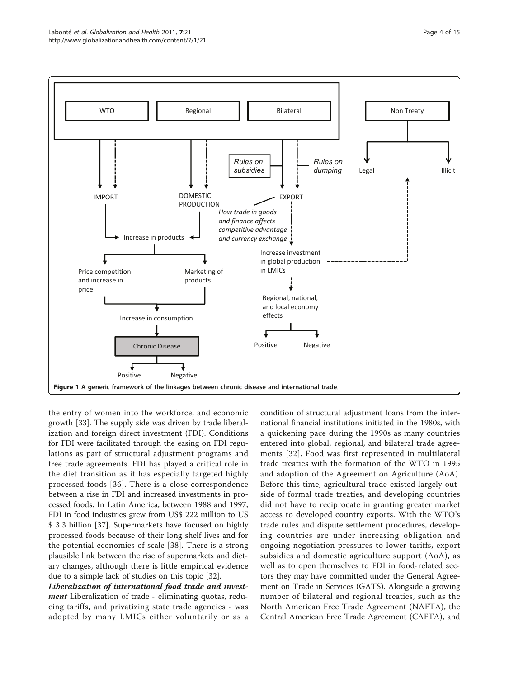<span id="page-3-0"></span>

the entry of women into the workforce, and economic growth [[33\]](#page-12-0). The supply side was driven by trade liberalization and foreign direct investment (FDI). Conditions for FDI were facilitated through the easing on FDI regulations as part of structural adjustment programs and free trade agreements. FDI has played a critical role in the diet transition as it has especially targeted highly processed foods [[36](#page-12-0)]. There is a close correspondence between a rise in FDI and increased investments in processed foods. In Latin America, between 1988 and 1997, FDI in food industries grew from US\$ 222 million to US \$ 3.3 billion [[37\]](#page-12-0). Supermarkets have focused on highly processed foods because of their long shelf lives and for the potential economies of scale [\[38](#page-12-0)]. There is a strong plausible link between the rise of supermarkets and dietary changes, although there is little empirical evidence due to a simple lack of studies on this topic [\[32\]](#page-12-0).

Liberalization of international food trade and investment Liberalization of trade - eliminating quotas, reducing tariffs, and privatizing state trade agencies - was adopted by many LMICs either voluntarily or as a

condition of structural adjustment loans from the international financial institutions initiated in the 1980s, with a quickening pace during the 1990s as many countries entered into global, regional, and bilateral trade agreements [[32](#page-12-0)]. Food was first represented in multilateral trade treaties with the formation of the WTO in 1995 and adoption of the Agreement on Agriculture (AoA). Before this time, agricultural trade existed largely outside of formal trade treaties, and developing countries did not have to reciprocate in granting greater market access to developed country exports. With the WTO's trade rules and dispute settlement procedures, developing countries are under increasing obligation and ongoing negotiation pressures to lower tariffs, export subsidies and domestic agriculture support (AoA), as well as to open themselves to FDI in food-related sectors they may have committed under the General Agreement on Trade in Services (GATS). Alongside a growing number of bilateral and regional treaties, such as the North American Free Trade Agreement (NAFTA), the Central American Free Trade Agreement (CAFTA), and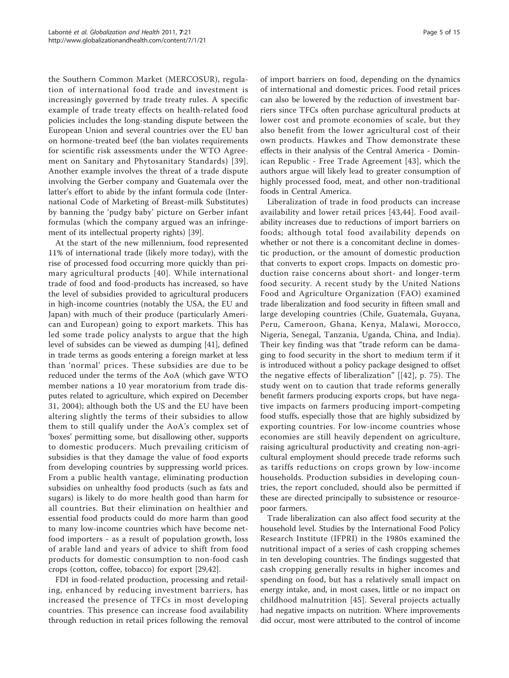the Southern Common Market (MERCOSUR), regulation of international food trade and investment is increasingly governed by trade treaty rules. A specific example of trade treaty effects on health-related food policies includes the long-standing dispute between the European Union and several countries over the EU ban on hormone-treated beef (the ban violates requirements for scientific risk assessments under the WTO Agreement on Sanitary and Phytosanitary Standards) [[39\]](#page-12-0). Another example involves the threat of a trade dispute involving the Gerber company and Guatemala over the latter's effort to abide by the infant formula code (International Code of Marketing of Breast-milk Substitutes) by banning the 'pudgy baby' picture on Gerber infant formulas (which the company argued was an infringement of its intellectual property rights) [\[39](#page-12-0)].

At the start of the new millennium, food represented 11% of international trade (likely more today), with the rise of processed food occurring more quickly than primary agricultural products [[40\]](#page-12-0). While international trade of food and food-products has increased, so have the level of subsidies provided to agricultural producers in high-income countries (notably the USA, the EU and Japan) with much of their produce (particularly American and European) going to export markets. This has led some trade policy analysts to argue that the high level of subsides can be viewed as dumping [\[41](#page-12-0)], defined in trade terms as goods entering a foreign market at less than 'normal' prices. These subsidies are due to be reduced under the terms of the AoA (which gave WTO member nations a 10 year moratorium from trade disputes related to agriculture, which expired on December 31, 2004); although both the US and the EU have been altering slightly the terms of their subsidies to allow them to still qualify under the AoA's complex set of 'boxes' permitting some, but disallowing other, supports to domestic producers. Much prevailing criticism of subsidies is that they damage the value of food exports from developing countries by suppressing world prices. From a public health vantage, eliminating production subsidies on unhealthy food products (such as fats and sugars) is likely to do more health good than harm for all countries. But their elimination on healthier and essential food products could do more harm than good to many low-income countries which have become netfood importers - as a result of population growth, loss of arable land and years of advice to shift from food products for domestic consumption to non-food cash crops (cotton, coffee, tobacco) for export [\[29,42](#page-12-0)].

FDI in food-related production, processing and retailing, enhanced by reducing investment barriers, has increased the presence of TFCs in most developing countries. This presence can increase food availability through reduction in retail prices following the removal of import barriers on food, depending on the dynamics of international and domestic prices. Food retail prices can also be lowered by the reduction of investment barriers since TFCs often purchase agricultural products at lower cost and promote economies of scale, but they also benefit from the lower agricultural cost of their own products. Hawkes and Thow demonstrate these effects in their analysis of the Central America - Dominican Republic - Free Trade Agreement [\[43](#page-12-0)], which the authors argue will likely lead to greater consumption of highly processed food, meat, and other non-traditional foods in Central America.

Liberalization of trade in food products can increase availability and lower retail prices [\[43,44](#page-12-0)]. Food availability increases due to reductions of import barriers on foods; although total food availability depends on whether or not there is a concomitant decline in domestic production, or the amount of domestic production that converts to export crops. Impacts on domestic production raise concerns about short- and longer-term food security. A recent study by the United Nations Food and Agriculture Organization (FAO) examined trade liberalization and food security in fifteen small and large developing countries (Chile, Guatemala, Guyana, Peru, Cameroon, Ghana, Kenya, Malawi, Morocco, Nigeria, Senegal, Tanzania, Uganda, China, and India). Their key finding was that "trade reform can be damaging to food security in the short to medium term if it is introduced without a policy package designed to offset the negative effects of liberalization" [[[42](#page-12-0)], p. 75). The study went on to caution that trade reforms generally benefit farmers producing exports crops, but have negative impacts on farmers producing import-competing food stuffs, especially those that are highly subsidized by exporting countries. For low-income countries whose economies are still heavily dependent on agriculture, raising agricultural productivity and creating non-agricultural employment should precede trade reforms such as tariffs reductions on crops grown by low-income households. Production subsidies in developing countries, the report concluded, should also be permitted if these are directed principally to subsistence or resourcepoor farmers.

Trade liberalization can also affect food security at the household level. Studies by the International Food Policy Research Institute (IFPRI) in the 1980s examined the nutritional impact of a series of cash cropping schemes in ten developing countries. The findings suggested that cash cropping generally results in higher incomes and spending on food, but has a relatively small impact on energy intake, and, in most cases, little or no impact on childhood malnutrition [[45\]](#page-12-0). Several projects actually had negative impacts on nutrition. Where improvements did occur, most were attributed to the control of income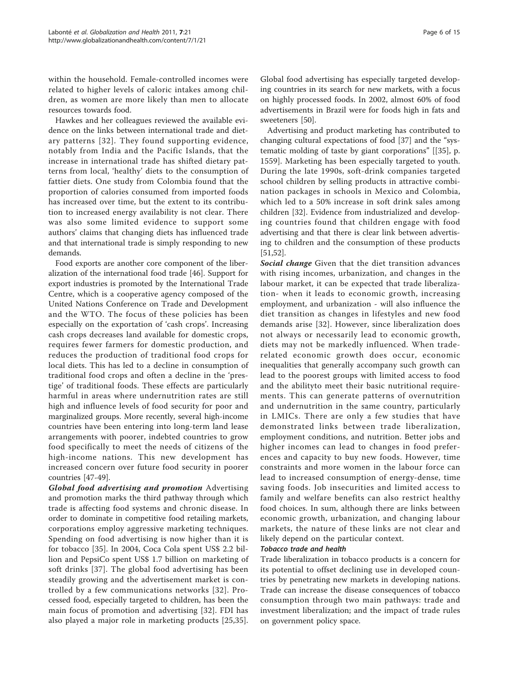within the household. Female-controlled incomes were related to higher levels of caloric intakes among children, as women are more likely than men to allocate resources towards food.

Hawkes and her colleagues reviewed the available evidence on the links between international trade and dietary patterns [[32\]](#page-12-0). They found supporting evidence, notably from India and the Pacific Islands, that the increase in international trade has shifted dietary patterns from local, 'healthy' diets to the consumption of fattier diets. One study from Colombia found that the proportion of calories consumed from imported foods has increased over time, but the extent to its contribution to increased energy availability is not clear. There was also some limited evidence to support some authors' claims that changing diets has influenced trade and that international trade is simply responding to new demands.

Food exports are another core component of the liberalization of the international food trade [[46\]](#page-12-0). Support for export industries is promoted by the International Trade Centre, which is a cooperative agency composed of the United Nations Conference on Trade and Development and the WTO. The focus of these policies has been especially on the exportation of 'cash crops'. Increasing cash crops decreases land available for domestic crops, requires fewer farmers for domestic production, and reduces the production of traditional food crops for local diets. This has led to a decline in consumption of traditional food crops and often a decline in the 'prestige' of traditional foods. These effects are particularly harmful in areas where undernutrition rates are still high and influence levels of food security for poor and marginalized groups. More recently, several high-income countries have been entering into long-term land lease arrangements with poorer, indebted countries to grow food specifically to meet the needs of citizens of the high-income nations. This new development has increased concern over future food security in poorer countries [[47-49\]](#page-13-0).

Global food advertising and promotion Advertising and promotion marks the third pathway through which trade is affecting food systems and chronic disease. In order to dominate in competitive food retailing markets, corporations employ aggressive marketing techniques. Spending on food advertising is now higher than it is for tobacco [[35\]](#page-12-0). In 2004, Coca Cola spent US\$ 2.2 billion and PepsiCo spent US\$ 1.7 billion on marketing of soft drinks [[37](#page-12-0)]. The global food advertising has been steadily growing and the advertisement market is controlled by a few communications networks [[32](#page-12-0)]. Processed food, especially targeted to children, has been the main focus of promotion and advertising [\[32](#page-12-0)]. FDI has also played a major role in marketing products [[25,35](#page-12-0)].

Global food advertising has especially targeted developing countries in its search for new markets, with a focus on highly processed foods. In 2002, almost 60% of food advertisements in Brazil were for foods high in fats and sweeteners [\[50\]](#page-13-0).

Advertising and product marketing has contributed to changing cultural expectations of food [\[37\]](#page-12-0) and the "systematic molding of taste by giant corporations" [[[35](#page-12-0)], p. 1559]. Marketing has been especially targeted to youth. During the late 1990s, soft-drink companies targeted school children by selling products in attractive combination packages in schools in Mexico and Colombia, which led to a 50% increase in soft drink sales among children [[32\]](#page-12-0). Evidence from industrialized and developing countries found that children engage with food advertising and that there is clear link between advertising to children and the consumption of these products [[51,52\]](#page-13-0).

Social change Given that the diet transition advances with rising incomes, urbanization, and changes in the labour market, it can be expected that trade liberalization- when it leads to economic growth, increasing employment, and urbanization - will also influence the diet transition as changes in lifestyles and new food demands arise [[32\]](#page-12-0). However, since liberalization does not always or necessarily lead to economic growth, diets may not be markedly influenced. When traderelated economic growth does occur, economic inequalities that generally accompany such growth can lead to the poorest groups with limited access to food and the abilityto meet their basic nutritional requirements. This can generate patterns of overnutrition and undernutrition in the same country, particularly in LMICs. There are only a few studies that have demonstrated links between trade liberalization, employment conditions, and nutrition. Better jobs and higher incomes can lead to changes in food preferences and capacity to buy new foods. However, time constraints and more women in the labour force can lead to increased consumption of energy-dense, time saving foods. Job insecurities and limited access to family and welfare benefits can also restrict healthy food choices. In sum, although there are links between economic growth, urbanization, and changing labour markets, the nature of these links are not clear and likely depend on the particular context.

#### Tobacco trade and health

Trade liberalization in tobacco products is a concern for its potential to offset declining use in developed countries by penetrating new markets in developing nations. Trade can increase the disease consequences of tobacco consumption through two main pathways: trade and investment liberalization; and the impact of trade rules on government policy space.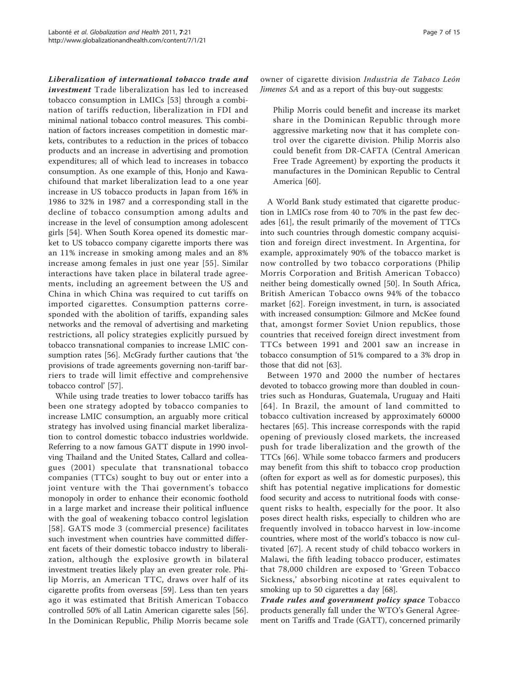Liberalization of international tobacco trade and investment Trade liberalization has led to increased tobacco consumption in LMICs [[53](#page-13-0)] through a combination of tariffs reduction, liberalization in FDI and minimal national tobacco control measures. This combination of factors increases competition in domestic markets, contributes to a reduction in the prices of tobacco products and an increase in advertising and promotion expenditures; all of which lead to increases in tobacco consumption. As one example of this, Honjo and Kawachifound that market liberalization lead to a one year increase in US tobacco products in Japan from 16% in 1986 to 32% in 1987 and a corresponding stall in the decline of tobacco consumption among adults and increase in the level of consumption among adolescent girls [[54\]](#page-13-0). When South Korea opened its domestic market to US tobacco company cigarette imports there was an 11% increase in smoking among males and an 8% increase among females in just one year [[55\]](#page-13-0). Similar interactions have taken place in bilateral trade agreements, including an agreement between the US and China in which China was required to cut tariffs on imported cigarettes. Consumption patterns corresponded with the abolition of tariffs, expanding sales networks and the removal of advertising and marketing restrictions, all policy strategies explicitly pursued by tobacco transnational companies to increase LMIC consumption rates [\[56](#page-13-0)]. McGrady further cautions that 'the provisions of trade agreements governing non-tariff barriers to trade will limit effective and comprehensive tobacco control' [\[57\]](#page-13-0).

While using trade treaties to lower tobacco tariffs has been one strategy adopted by tobacco companies to increase LMIC consumption, an arguably more critical strategy has involved using financial market liberalization to control domestic tobacco industries worldwide. Referring to a now famous GATT dispute in 1990 involving Thailand and the United States, Callard and colleagues (2001) speculate that transnational tobacco companies (TTCs) sought to buy out or enter into a joint venture with the Thai government's tobacco monopoly in order to enhance their economic foothold in a large market and increase their political influence with the goal of weakening tobacco control legislation [[58\]](#page-13-0). GATS mode 3 (commercial presence) facilitates such investment when countries have committed different facets of their domestic tobacco industry to liberalization, although the explosive growth in bilateral investment treaties likely play an even greater role. Philip Morris, an American TTC, draws over half of its cigarette profits from overseas [[59\]](#page-13-0). Less than ten years ago it was estimated that British American Tobacco controlled 50% of all Latin American cigarette sales [[56](#page-13-0)]. In the Dominican Republic, Philip Morris became sole owner of cigarette division Industria de Tabaco León Jimenes SA and as a report of this buy-out suggests:

Philip Morris could benefit and increase its market share in the Dominican Republic through more aggressive marketing now that it has complete control over the cigarette division. Philip Morris also could benefit from DR-CAFTA (Central American Free Trade Agreement) by exporting the products it manufactures in the Dominican Republic to Central America [\[60](#page-13-0)].

A World Bank study estimated that cigarette production in LMICs rose from 40 to 70% in the past few decades [[61\]](#page-13-0), the result primarily of the movement of TTCs into such countries through domestic company acquisition and foreign direct investment. In Argentina, for example, approximately 90% of the tobacco market is now controlled by two tobacco corporations (Philip Morris Corporation and British American Tobacco) neither being domestically owned [\[50](#page-13-0)]. In South Africa, British American Tobacco owns 94% of the tobacco market [\[62\]](#page-13-0). Foreign investment, in turn, is associated with increased consumption: Gilmore and McKee found that, amongst former Soviet Union republics, those countries that received foreign direct investment from TTCs between 1991 and 2001 saw an increase in tobacco consumption of 51% compared to a 3% drop in those that did not [\[63\]](#page-13-0).

Between 1970 and 2000 the number of hectares devoted to tobacco growing more than doubled in countries such as Honduras, Guatemala, Uruguay and Haiti [[64](#page-13-0)]. In Brazil, the amount of land committed to tobacco cultivation increased by approximately 60000 hectares [[65\]](#page-13-0). This increase corresponds with the rapid opening of previously closed markets, the increased push for trade liberalization and the growth of the TTCs [\[66](#page-13-0)]. While some tobacco farmers and producers may benefit from this shift to tobacco crop production (often for export as well as for domestic purposes), this shift has potential negative implications for domestic food security and access to nutritional foods with consequent risks to health, especially for the poor. It also poses direct health risks, especially to children who are frequently involved in tobacco harvest in low-income countries, where most of the world's tobacco is now cultivated [\[67](#page-13-0)]. A recent study of child tobacco workers in Malawi, the fifth leading tobacco producer, estimates that 78,000 children are exposed to 'Green Tobacco Sickness,' absorbing nicotine at rates equivalent to smoking up to 50 cigarettes a day [\[68](#page-13-0)].

Trade rules and government policy space Tobacco products generally fall under the WTO's General Agreement on Tariffs and Trade (GATT), concerned primarily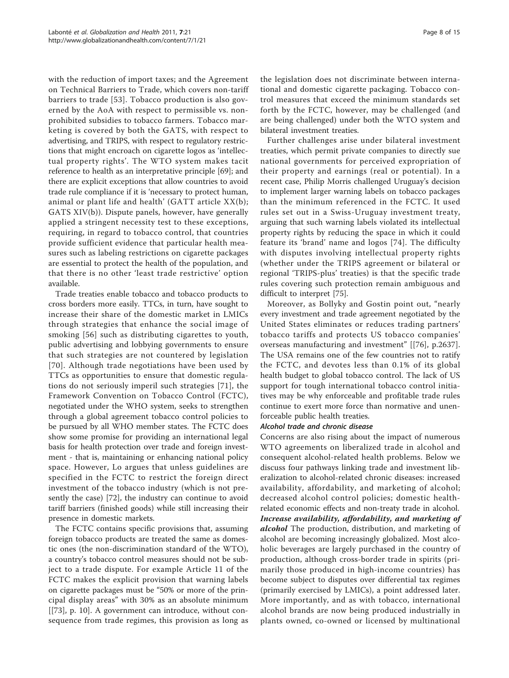with the reduction of import taxes; and the Agreement on Technical Barriers to Trade, which covers non-tariff barriers to trade [[53](#page-13-0)]. Tobacco production is also governed by the AoA with respect to permissible vs. nonprohibited subsidies to tobacco farmers. Tobacco marketing is covered by both the GATS, with respect to advertising, and TRIPS, with respect to regulatory restrictions that might encroach on cigarette logos as 'intellectual property rights'. The WTO system makes tacit reference to health as an interpretative principle [[69\]](#page-13-0); and there are explicit exceptions that allow countries to avoid trade rule compliance if it is 'necessary to protect human, animal or plant life and health' (GATT article XX(b); GATS XIV(b)). Dispute panels, however, have generally applied a stringent necessity test to these exceptions, requiring, in regard to tobacco control, that countries provide sufficient evidence that particular health measures such as labeling restrictions on cigarette packages are essential to protect the health of the population, and that there is no other 'least trade restrictive' option available.

Trade treaties enable tobacco and tobacco products to cross borders more easily. TTCs, in turn, have sought to increase their share of the domestic market in LMICs through strategies that enhance the social image of smoking [[56](#page-13-0)] such as distributing cigarettes to youth, public advertising and lobbying governments to ensure that such strategies are not countered by legislation [[70\]](#page-13-0). Although trade negotiations have been used by TTCs as opportunities to ensure that domestic regulations do not seriously imperil such strategies [[71](#page-13-0)], the Framework Convention on Tobacco Control (FCTC), negotiated under the WHO system, seeks to strengthen through a global agreement tobacco control policies to be pursued by all WHO member states. The FCTC does show some promise for providing an international legal basis for health protection over trade and foreign investment - that is, maintaining or enhancing national policy space. However, Lo argues that unless guidelines are specified in the FCTC to restrict the foreign direct investment of the tobacco industry (which is not presently the case) [\[72](#page-13-0)], the industry can continue to avoid tariff barriers (finished goods) while still increasing their presence in domestic markets.

The FCTC contains specific provisions that, assuming foreign tobacco products are treated the same as domestic ones (the non-discrimination standard of the WTO), a country's tobacco control measures should not be subject to a trade dispute. For example Article 11 of the FCTC makes the explicit provision that warning labels on cigarette packages must be "50% or more of the principal display areas" with 30% as an absolute minimum [[\[73](#page-13-0)], p. 10]. A government can introduce, without consequence from trade regimes, this provision as long as

the legislation does not discriminate between international and domestic cigarette packaging. Tobacco control measures that exceed the minimum standards set forth by the FCTC, however, may be challenged (and are being challenged) under both the WTO system and bilateral investment treaties.

Further challenges arise under bilateral investment treaties, which permit private companies to directly sue national governments for perceived expropriation of their property and earnings (real or potential). In a recent case, Philip Morris challenged Uruguay's decision to implement larger warning labels on tobacco packages than the minimum referenced in the FCTC. It used rules set out in a Swiss-Uruguay investment treaty, arguing that such warning labels violated its intellectual property rights by reducing the space in which it could feature its 'brand' name and logos [\[74\]](#page-13-0). The difficulty with disputes involving intellectual property rights (whether under the TRIPS agreement or bilateral or regional 'TRIPS-plus' treaties) is that the specific trade rules covering such protection remain ambiguous and difficult to interpret [[75](#page-13-0)].

Moreover, as Bollyky and Gostin point out, "nearly every investment and trade agreement negotiated by the United States eliminates or reduces trading partners' tobacco tariffs and protects US tobacco companies' overseas manufacturing and investment" [[\[76](#page-13-0)], p.2637]. The USA remains one of the few countries not to ratify the FCTC, and devotes less than 0.1% of its global health budget to global tobacco control. The lack of US support for tough international tobacco control initiatives may be why enforceable and profitable trade rules continue to exert more force than normative and unenforceable public health treaties.

#### Alcohol trade and chronic disease

Concerns are also rising about the impact of numerous WTO agreements on liberalized trade in alcohol and consequent alcohol-related health problems. Below we discuss four pathways linking trade and investment liberalization to alcohol-related chronic diseases: increased availability, affordability, and marketing of alcohol; decreased alcohol control policies; domestic healthrelated economic effects and non-treaty trade in alcohol. Increase availability, affordability, and marketing of **alcohol** The production, distribution, and marketing of alcohol are becoming increasingly globalized. Most alcoholic beverages are largely purchased in the country of production, although cross-border trade in spirits (primarily those produced in high-income countries) has become subject to disputes over differential tax regimes (primarily exercised by LMICs), a point addressed later. More importantly, and as with tobacco, international alcohol brands are now being produced industrially in plants owned, co-owned or licensed by multinational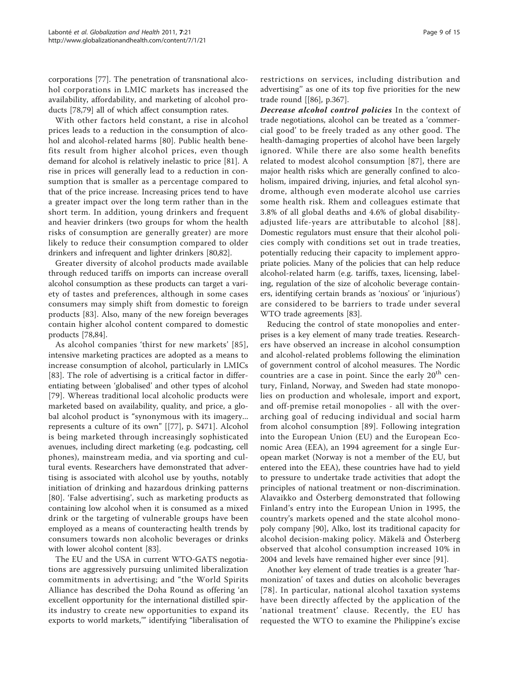corporations [[77](#page-13-0)]. The penetration of transnational alcohol corporations in LMIC markets has increased the availability, affordability, and marketing of alcohol products [[78,79\]](#page-13-0) all of which affect consumption rates.

With other factors held constant, a rise in alcohol prices leads to a reduction in the consumption of alcohol and alcohol-related harms [[80](#page-13-0)]. Public health benefits result from higher alcohol prices, even though demand for alcohol is relatively inelastic to price [\[81\]](#page-13-0). A rise in prices will generally lead to a reduction in consumption that is smaller as a percentage compared to that of the price increase. Increasing prices tend to have a greater impact over the long term rather than in the short term. In addition, young drinkers and frequent and heavier drinkers (two groups for whom the health risks of consumption are generally greater) are more likely to reduce their consumption compared to older drinkers and infrequent and lighter drinkers [[80,82](#page-13-0)].

Greater diversity of alcohol products made available through reduced tariffs on imports can increase overall alcohol consumption as these products can target a variety of tastes and preferences, although in some cases consumers may simply shift from domestic to foreign products [[83\]](#page-13-0). Also, many of the new foreign beverages contain higher alcohol content compared to domestic products [[78,84](#page-13-0)].

As alcohol companies 'thirst for new markets' [[85\]](#page-13-0), intensive marketing practices are adopted as a means to increase consumption of alcohol, particularly in LMICs [[83\]](#page-13-0). The role of advertising is a critical factor in differentiating between 'globalised' and other types of alcohol [[79](#page-13-0)]. Whereas traditional local alcoholic products were marketed based on availability, quality, and price, a global alcohol product is "synonymous with its imagery... represents a culture of its own" [[\[77](#page-13-0)], p. S471]. Alcohol is being marketed through increasingly sophisticated avenues, including direct marketing (e.g. podcasting, cell phones), mainstream media, and via sporting and cultural events. Researchers have demonstrated that advertising is associated with alcohol use by youths, notably initiation of drinking and hazardous drinking patterns [[80](#page-13-0)]. 'False advertising', such as marketing products as containing low alcohol when it is consumed as a mixed drink or the targeting of vulnerable groups have been employed as a means of counteracting health trends by consumers towards non alcoholic beverages or drinks with lower alcohol content [\[83](#page-13-0)].

The EU and the USA in current WTO-GATS negotiations are aggressively pursuing unlimited liberalization commitments in advertising; and "the World Spirits Alliance has described the Doha Round as offering 'an excellent opportunity for the international distilled spirits industry to create new opportunities to expand its exports to world markets,'" identifying "liberalisation of restrictions on services, including distribution and advertising'' as one of its top five priorities for the new trade round [[[86\]](#page-13-0), p.367].

Decrease alcohol control policies In the context of trade negotiations, alcohol can be treated as a 'commercial good' to be freely traded as any other good. The health-damaging properties of alcohol have been largely ignored. While there are also some health benefits related to modest alcohol consumption [[87](#page-13-0)], there are major health risks which are generally confined to alcoholism, impaired driving, injuries, and fetal alcohol syndrome, although even moderate alcohol use carries some health risk. Rhem and colleagues estimate that 3.8% of all global deaths and 4.6% of global disabilityadjusted life-years are attributable to alcohol [[88\]](#page-13-0). Domestic regulators must ensure that their alcohol policies comply with conditions set out in trade treaties, potentially reducing their capacity to implement appropriate policies. Many of the policies that can help reduce alcohol-related harm (e.g. tariffs, taxes, licensing, labeling, regulation of the size of alcoholic beverage containers, identifying certain brands as 'noxious' or 'injurious') are considered to be barriers to trade under several WTO trade agreements [[83](#page-13-0)].

Reducing the control of state monopolies and enterprises is a key element of many trade treaties. Researchers have observed an increase in alcohol consumption and alcohol-related problems following the elimination of government control of alcohol measures. The Nordic countries are a case in point. Since the early  $20<sup>th</sup>$  century, Finland, Norway, and Sweden had state monopolies on production and wholesale, import and export, and off-premise retail monopolies - all with the overarching goal of reducing individual and social harm from alcohol consumption [[89\]](#page-13-0). Following integration into the European Union (EU) and the European Economic Area (EEA), an 1994 agreement for a single European market (Norway is not a member of the EU, but entered into the EEA), these countries have had to yield to pressure to undertake trade activities that adopt the principles of national treatment or non-discrimination. Alavaikko and Österberg demonstrated that following Finland's entry into the European Union in 1995, the country's markets opened and the state alcohol monopoly company [\[90](#page-13-0)], Alko, lost its traditional capacity for alcohol decision-making policy. Mäkelä and Österberg observed that alcohol consumption increased 10% in 2004 and levels have remained higher ever since [\[91\]](#page-13-0).

Another key element of trade treaties is a greater 'harmonization' of taxes and duties on alcoholic beverages [[78\]](#page-13-0). In particular, national alcohol taxation systems have been directly affected by the application of the 'national treatment' clause. Recently, the EU has requested the WTO to examine the Philippine's excise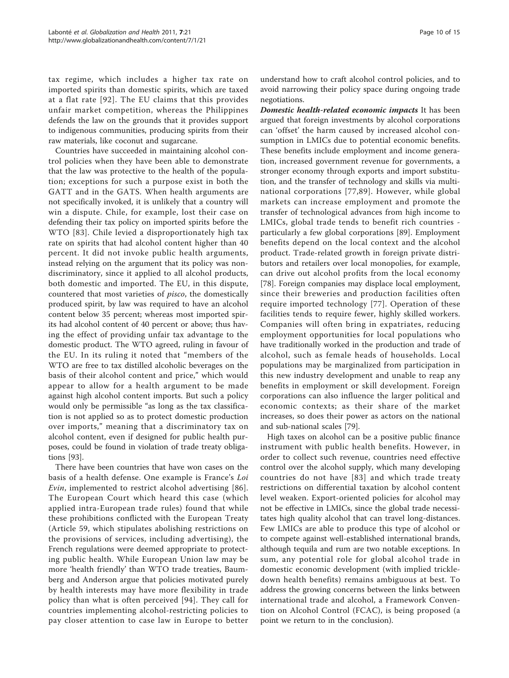tax regime, which includes a higher tax rate on imported spirits than domestic spirits, which are taxed at a flat rate [\[92](#page-13-0)]. The EU claims that this provides unfair market competition, whereas the Philippines defends the law on the grounds that it provides support to indigenous communities, producing spirits from their raw materials, like coconut and sugarcane.

Countries have succeeded in maintaining alcohol control policies when they have been able to demonstrate that the law was protective to the health of the population; exceptions for such a purpose exist in both the GATT and in the GATS. When health arguments are not specifically invoked, it is unlikely that a country will win a dispute. Chile, for example, lost their case on defending their tax policy on imported spirits before the WTO [[83\]](#page-13-0). Chile levied a disproportionately high tax rate on spirits that had alcohol content higher than 40 percent. It did not invoke public health arguments, instead relying on the argument that its policy was nondiscriminatory, since it applied to all alcohol products, both domestic and imported. The EU, in this dispute, countered that most varieties of pisco, the domestically produced spirit, by law was required to have an alcohol content below 35 percent; whereas most imported spirits had alcohol content of 40 percent or above; thus having the effect of providing unfair tax advantage to the domestic product. The WTO agreed, ruling in favour of the EU. In its ruling it noted that "members of the WTO are free to tax distilled alcoholic beverages on the basis of their alcohol content and price," which would appear to allow for a health argument to be made against high alcohol content imports. But such a policy would only be permissible "as long as the tax classification is not applied so as to protect domestic production over imports," meaning that a discriminatory tax on alcohol content, even if designed for public health purposes, could be found in violation of trade treaty obligations [\[93\]](#page-13-0).

There have been countries that have won cases on the basis of a health defense. One example is France's Loi Evin, implemented to restrict alcohol advertising [[86](#page-13-0)]. The European Court which heard this case (which applied intra-European trade rules) found that while these prohibitions conflicted with the European Treaty (Article 59, which stipulates abolishing restrictions on the provisions of services, including advertising), the French regulations were deemed appropriate to protecting public health. While European Union law may be more 'health friendly' than WTO trade treaties, Baumberg and Anderson argue that policies motivated purely by health interests may have more flexibility in trade policy than what is often perceived [[94\]](#page-13-0). They call for countries implementing alcohol-restricting policies to pay closer attention to case law in Europe to better understand how to craft alcohol control policies, and to avoid narrowing their policy space during ongoing trade negotiations.

Domestic health-related economic impacts It has been argued that foreign investments by alcohol corporations can 'offset' the harm caused by increased alcohol consumption in LMICs due to potential economic benefits. These benefits include employment and income generation, increased government revenue for governments, a stronger economy through exports and import substitution, and the transfer of technology and skills via multinational corporations [[77,89\]](#page-13-0). However, while global markets can increase employment and promote the transfer of technological advances from high income to LMICs, global trade tends to benefit rich countries particularly a few global corporations [\[89](#page-13-0)]. Employment benefits depend on the local context and the alcohol product. Trade-related growth in foreign private distributors and retailers over local monopolies, for example, can drive out alcohol profits from the local economy [[78\]](#page-13-0). Foreign companies may displace local employment, since their breweries and production facilities often require imported technology [[77](#page-13-0)]. Operation of these facilities tends to require fewer, highly skilled workers. Companies will often bring in expatriates, reducing employment opportunities for local populations who have traditionally worked in the production and trade of alcohol, such as female heads of households. Local populations may be marginalized from participation in this new industry development and unable to reap any benefits in employment or skill development. Foreign corporations can also influence the larger political and economic contexts; as their share of the market increases, so does their power as actors on the national and sub-national scales [\[79](#page-13-0)].

High taxes on alcohol can be a positive public finance instrument with public health benefits. However, in order to collect such revenue, countries need effective control over the alcohol supply, which many developing countries do not have [[83](#page-13-0)] and which trade treaty restrictions on differential taxation by alcohol content level weaken. Export-oriented policies for alcohol may not be effective in LMICs, since the global trade necessitates high quality alcohol that can travel long-distances. Few LMICs are able to produce this type of alcohol or to compete against well-established international brands, although tequila and rum are two notable exceptions. In sum, any potential role for global alcohol trade in domestic economic development (with implied trickledown health benefits) remains ambiguous at best. To address the growing concerns between the links between international trade and alcohol, a Framework Convention on Alcohol Control (FCAC), is being proposed (a point we return to in the conclusion).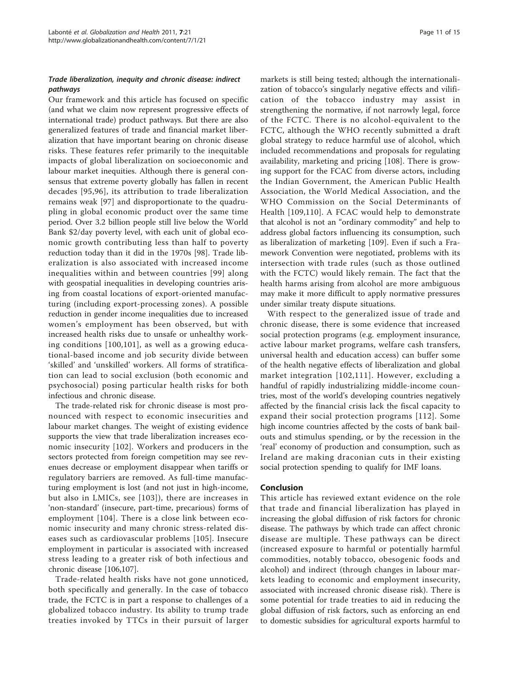## Trade liberalization, inequity and chronic disease: indirect pathways

Our framework and this article has focused on specific (and what we claim now represent progressive effects of international trade) product pathways. But there are also generalized features of trade and financial market liberalization that have important bearing on chronic disease risks. These features refer primarily to the inequitable impacts of global liberalization on socioeconomic and labour market inequities. Although there is general consensus that extreme poverty globally has fallen in recent decades [[95](#page-13-0),[96](#page-13-0)], its attribution to trade liberalization remains weak [[97\]](#page-13-0) and disproportionate to the quadrupling in global economic product over the same time period. Over 3.2 billion people still live below the World Bank \$2/day poverty level, with each unit of global economic growth contributing less than half to poverty reduction today than it did in the 1970s [\[98](#page-13-0)]. Trade liberalization is also associated with increased income inequalities within and between countries [\[99\]](#page-13-0) along with geospatial inequalities in developing countries arising from coastal locations of export-oriented manufacturing (including export-processing zones). A possible reduction in gender income inequalities due to increased women's employment has been observed, but with increased health risks due to unsafe or unhealthy working conditions [\[100,](#page-13-0)[101\]](#page-14-0), as well as a growing educational-based income and job security divide between 'skilled' and 'unskilled' workers. All forms of stratification can lead to social exclusion (both economic and psychosocial) posing particular health risks for both infectious and chronic disease.

The trade-related risk for chronic disease is most pronounced with respect to economic insecurities and labour market changes. The weight of existing evidence supports the view that trade liberalization increases economic insecurity [\[102\]](#page-14-0). Workers and producers in the sectors protected from foreign competition may see revenues decrease or employment disappear when tariffs or regulatory barriers are removed. As full-time manufacturing employment is lost (and not just in high-income, but also in LMICs, see [[103](#page-14-0)]), there are increases in 'non-standard' (insecure, part-time, precarious) forms of employment [[104](#page-14-0)]. There is a close link between economic insecurity and many chronic stress-related diseases such as cardiovascular problems [[105\]](#page-14-0). Insecure employment in particular is associated with increased stress leading to a greater risk of both infectious and chronic disease [\[106,107\]](#page-14-0).

Trade-related health risks have not gone unnoticed, both specifically and generally. In the case of tobacco trade, the FCTC is in part a response to challenges of a globalized tobacco industry. Its ability to trump trade treaties invoked by TTCs in their pursuit of larger markets is still being tested; although the internationalization of tobacco's singularly negative effects and vilification of the tobacco industry may assist in strengthening the normative, if not narrowly legal, force of the FCTC. There is no alcohol-equivalent to the FCTC, although the WHO recently submitted a draft global strategy to reduce harmful use of alcohol, which included recommendations and proposals for regulating availability, marketing and pricing [\[108\]](#page-14-0). There is growing support for the FCAC from diverse actors, including the Indian Government, the American Public Health Association, the World Medical Association, and the WHO Commission on the Social Determinants of Health [[109](#page-14-0),[110](#page-14-0)]. A FCAC would help to demonstrate that alcohol is not an "ordinary commodity" and help to address global factors influencing its consumption, such as liberalization of marketing [\[109\]](#page-14-0). Even if such a Framework Convention were negotiated, problems with its intersection with trade rules (such as those outlined with the FCTC) would likely remain. The fact that the health harms arising from alcohol are more ambiguous may make it more difficult to apply normative pressures under similar treaty dispute situations.

With respect to the generalized issue of trade and chronic disease, there is some evidence that increased social protection programs (e.g. employment insurance, active labour market programs, welfare cash transfers, universal health and education access) can buffer some of the health negative effects of liberalization and global market integration [[102,111](#page-14-0)]. However, excluding a handful of rapidly industrializing middle-income countries, most of the world's developing countries negatively affected by the financial crisis lack the fiscal capacity to expand their social protection programs [[112](#page-14-0)]. Some high income countries affected by the costs of bank bailouts and stimulus spending, or by the recession in the 'real' economy of production and consumption, such as Ireland are making draconian cuts in their existing social protection spending to qualify for IMF loans.

#### Conclusion

This article has reviewed extant evidence on the role that trade and financial liberalization has played in increasing the global diffusion of risk factors for chronic disease. The pathways by which trade can affect chronic disease are multiple. These pathways can be direct (increased exposure to harmful or potentially harmful commodities, notably tobacco, obesogenic foods and alcohol) and indirect (through changes in labour markets leading to economic and employment insecurity, associated with increased chronic disease risk). There is some potential for trade treaties to aid in reducing the global diffusion of risk factors, such as enforcing an end to domestic subsidies for agricultural exports harmful to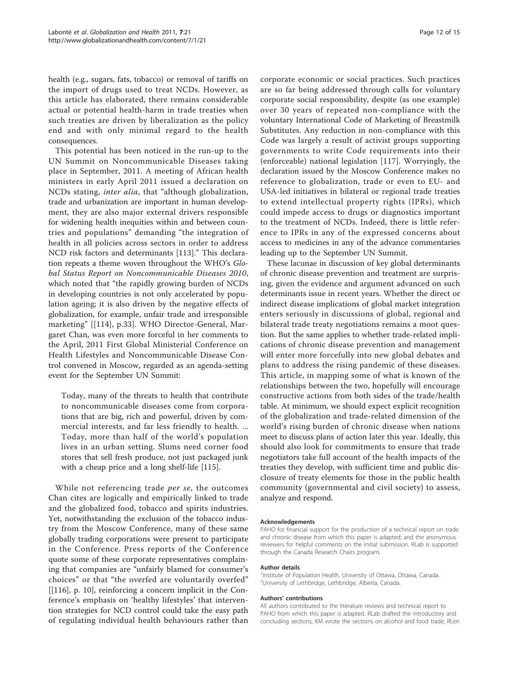health (e.g., sugars, fats, tobacco) or removal of tariffs on the import of drugs used to treat NCDs. However, as this article has elaborated, there remains considerable actual or potential health-harm in trade treaties when such treaties are driven by liberalization as the policy end and with only minimal regard to the health consequences.

This potential has been noticed in the run-up to the UN Summit on Noncommunicable Diseases taking place in September, 2011. A meeting of African health ministers in early April 2011 issued a declaration on NCDs stating, inter alia, that "although globalization, trade and urbanization are important in human development, they are also major external drivers responsible for widening health inequities within and between countries and populations" demanding "the integration of health in all policies across sectors in order to address NCD risk factors and determinants [\[113\]](#page-14-0)." This declaration repeats a theme woven throughout the WHO's Global Status Report on Noncommunicable Diseases 2010, which noted that "the rapidly growing burden of NCDs in developing countries is not only accelerated by population ageing; it is also driven by the negative effects of globalization, for example, unfair trade and irresponsible marketing" [[[114\]](#page-14-0), p.33]. WHO Director-General, Margaret Chan, was even more forceful in her comments to the April, 2011 First Global Ministerial Conference on Health Lifestyles and Noncommunicable Disease Control convened in Moscow, regarded as an agenda-setting event for the September UN Summit:

Today, many of the threats to health that contribute to noncommunicable diseases come from corporations that are big, rich and powerful, driven by commercial interests, and far less friendly to health. ... Today, more than half of the world's population lives in an urban setting. Slums need corner food stores that sell fresh produce, not just packaged junk with a cheap price and a long shelf-life [\[115](#page-14-0)].

While not referencing trade per se, the outcomes Chan cites are logically and empirically linked to trade and the globalized food, tobacco and spirits industries. Yet, notwithstanding the exclusion of the tobacco industry from the Moscow Conference, many of these same globally trading corporations were present to participate in the Conference. Press reports of the Conference quote some of these corporate representatives complaining that companies are "unfairly blamed for consumer's choices" or that "the overfed are voluntarily overfed" [[[116\]](#page-14-0), p. 10], reinforcing a concern implicit in the Conference's emphasis on 'healthy lifestyles' that intervention strategies for NCD control could take the easy path of regulating individual health behaviours rather than corporate economic or social practices. Such practices are so far being addressed through calls for voluntary corporate social responsibility, despite (as one example) over 30 years of repeated non-compliance with the voluntary International Code of Marketing of Breastmilk Substitutes. Any reduction in non-compliance with this Code was largely a result of activist groups supporting governments to write Code requirements into their (enforceable) national legislation [[117\]](#page-14-0). Worryingly, the declaration issued by the Moscow Conference makes no reference to globalization, trade or even to EU- and USA-led initiatives in bilateral or regional trade treaties to extend intellectual property rights (IPRs), which could impede access to drugs or diagnostics important to the treatment of NCDs. Indeed, there is little reference to IPRs in any of the expressed concerns about access to medicines in any of the advance commentaries leading up to the September UN Summit.

These lacunae in discussion of key global determinants of chronic disease prevention and treatment are surprising, given the evidence and argument advanced on such determinants issue in recent years. Whether the direct or indirect disease implications of global market integration enters seriously in discussions of global, regional and bilateral trade treaty negotiations remains a moot question. But the same applies to whether trade-related implications of chronic disease prevention and management will enter more forcefully into new global debates and plans to address the rising pandemic of these diseases. This article, in mapping some of what is known of the relationships between the two, hopefully will encourage constructive actions from both sides of the trade/health table. At minimum, we should expect explicit recognition of the globalization and trade-related dimension of the world's rising burden of chronic disease when nations meet to discuss plans of action later this year. Ideally, this should also look for commitments to ensure that trade negotiators take full account of the health impacts of the treaties they develop, with sufficient time and public disclosure of treaty elements for those in the public health community (governmental and civil society) to assess, analyze and respond.

#### Acknowledgements

PAHO for financial support for the production of a technical report on trade and chronic disease from which this paper is adapted; and the anonymous reviewers for helpful comments on the initial submission. RLab is supported through the Canada Research Chairs program.

#### Author details

<sup>1</sup>Institute of Population Health, University of Ottawa, Ottawa, Canada <sup>2</sup>University of Lethbridge, Lethbridge, Alberta, Canada

#### Authors' contributions

All authors contributed to the literature reviews and technical report to PAHO from which this paper is adapted. RLab drafted the introductory and concluding sections, KM wrote the sections on alcohol and food trade, RLen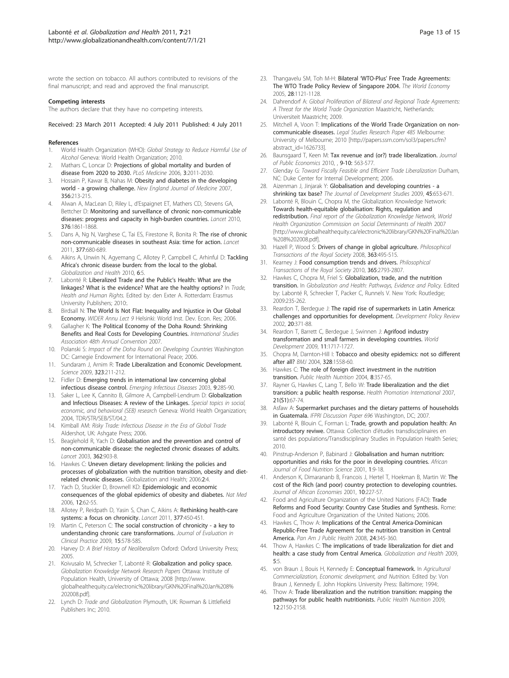<span id="page-12-0"></span>wrote the section on tobacco. All authors contributed to revisions of the final manuscript; and read and approved the final manuscript.

#### Competing interests

The authors declare that they have no competing interests.

#### Received: 23 March 2011 Accepted: 4 July 2011 Published: 4 July 2011

#### References

- 1. World Health Organization (WHO): Global Strategy to Reduce Harmful Use of Alcohol Geneva: World Health Organization; 2010.
- 2. Mathars C, Loncar D: Projections of global mortality and burden of disease from 2020 to 2030. PLoS Medicine 2006, 3:2011-2030.
- 3. Hossain P, Kawar B, Nahas M: [Obesity and diabetes in the developing](http://www.ncbi.nlm.nih.gov/pubmed/17229948?dopt=Abstract) [world - a growing challenge.](http://www.ncbi.nlm.nih.gov/pubmed/17229948?dopt=Abstract) New England Journal of Medicine 2007, 356:213-215.
- 4. Alwan A, MacLean D, Riley L, d'Espaignet ET, Mathers CD, Stevens GA, Bettcher D: [Monitoring and surveillance of chronic non-communicable](http://www.ncbi.nlm.nih.gov/pubmed/21074258?dopt=Abstract) [diseases: progress and capacity in high-burden countries.](http://www.ncbi.nlm.nih.gov/pubmed/21074258?dopt=Abstract) Lancet 2010, 376:1861-1868.
- 5. Dans A, Ng N, Varghese C, Tai ES, Firestone R, Bonita R: [The rise of chronic](http://www.ncbi.nlm.nih.gov/pubmed/21269677?dopt=Abstract) [non-communicable diseases in southeast Asia: time for action.](http://www.ncbi.nlm.nih.gov/pubmed/21269677?dopt=Abstract) Lancet 2011, 377:680-689.
- Aikins A, Unwin N, Agyemang C, Allotey P, Campbell C, Arhinful D: [Tackling](http://www.ncbi.nlm.nih.gov/pubmed/20403167?dopt=Abstract) Africa'[s chronic disease burden: from the local to the global.](http://www.ncbi.nlm.nih.gov/pubmed/20403167?dopt=Abstract) Globalization and Health 2010, 6:5.
- 7. Labonté R: Liberalized Trade and the Public's Health: What are the linkages? What is the evidence? What are the healthy options? In Trade, Health and Human Rights. Edited by: den Exter A. Rotterdam: Erasmus University Publishers; 2010:.
- 8. Birdsall N: The World Is Not Flat: Inequality and Injustice in Our Global Economy. WIDER Annu Lect 9 Helsinki: World Inst. Dev. Econ. Res; 2006.
- 9. Gallagher K: The Political Economy of the Doha Round: Shrinking Benefits and Real Costs for Developing Countries. International Studies Association 48th Annual Convention 2007.
- 10. Polanski S: Impact of the Doha Round on Developing Countries Washington DC: Carnegie Endowment for International Peace; 2006.
- 11. Sundaram J, Arnim R: [Trade Liberalization and Economic Development.](http://www.ncbi.nlm.nih.gov/pubmed/19131614?dopt=Abstract) Science 2009, 323:211-212.
- 12. Fidler D: [Emerging trends in international law concerning global](http://www.ncbi.nlm.nih.gov/pubmed/12643821?dopt=Abstract) [infectious disease control.](http://www.ncbi.nlm.nih.gov/pubmed/12643821?dopt=Abstract) Emerging Infectious Diseases 2003, 9:285-90.
- 13. Saker L, Lee K, Cannito B, Gilmore A, Campbell-Lendrum D: Globalization and Infectious Diseases: A review of the Linkages. Special topics in social, economic, and behavioral (SEB) research Geneva: World Health Organization; 2004, TDR/STR/SEB/ST/04.2.
- 14. Kimball AM: Risky Trade: Infectious Disease in the Era of Global Trade Aldershot, UK: Ashgate Press; 2006.
- 15. Beaglehold R, Yach D: [Globalisation and the prevention and control of](http://www.ncbi.nlm.nih.gov/pubmed/13678979?dopt=Abstract) [non-communicable disease: the neglected chronic diseases of adults.](http://www.ncbi.nlm.nih.gov/pubmed/13678979?dopt=Abstract) Lancet 2003, 362:903-8.
- 16. Hawkes C: Uneven dietary development: linking the policies and processes of globalization with the nutrition transition, obesity and dietrelated chronic diseases. Globalization and Health; 2006:2:4.
- 17. Yach D, Stuckler D, Brownell KD: [Epidemiologic and economic](http://www.ncbi.nlm.nih.gov/pubmed/16397571?dopt=Abstract) [consequences of the global epidemics of obesity and diabetes.](http://www.ncbi.nlm.nih.gov/pubmed/16397571?dopt=Abstract) Nat Med 2006, 12:62-55.
- 18. Allotey P, Reidpath D, Yasin S, Chan C, Aikins A: [Rethinking health-care](http://www.ncbi.nlm.nih.gov/pubmed/21074257?dopt=Abstract) [systems: a focus on chronicity.](http://www.ncbi.nlm.nih.gov/pubmed/21074257?dopt=Abstract) Lancet 2011, 377:450-451.
- 19. Martin C, Peterson C: [The social construction of chronicity a key to](http://www.ncbi.nlm.nih.gov/pubmed/19522914?dopt=Abstract) [understanding chronic care transformations.](http://www.ncbi.nlm.nih.gov/pubmed/19522914?dopt=Abstract) Journal of Evaluation in Clinical Practice 2009, 15:578-585.
- 20. Harvey D: A Brief History of Neoliberalism Oxford: Oxford University Press; 2005.
- 21. Koivusalo M, Schrecker T, Labonté R: Globalization and policy space. Globalization Knowledge Network Research Papers Ottawa: Institute of Population Health, University of Ottawa; 2008 [\[http://www.](http://www.globalhealthequity.ca/electronic%20library/GKN%20Final%20Jan%208%202008.pdf) [globalhealthequity.ca/electronic%20library/GKN%20Final%20Jan%208%](http://www.globalhealthequity.ca/electronic%20library/GKN%20Final%20Jan%208%202008.pdf) [202008.pdf\]](http://www.globalhealthequity.ca/electronic%20library/GKN%20Final%20Jan%208%202008.pdf).
- 22. Lynch D: Trade and Globalization Plymouth, UK: Rowman & Littlefield Publishers Inc; 2010.
- 23. Thangavelu SM, Toh M-H: Bilateral 'WTO-Plus' Free Trade Agreements: The WTO Trade Policy Review of Singapore 2004. The World Economy 2005, 28:1121-1128.
- 24. Dahrendorf A: Global Proliferation of Bilateral and Regional Trade Agreements: A Threat for the World Trade Organization Maastricht, Netherlands: Universiteit Maastricht; 2009.
- 25. Mitchell A, Voon T: Implications of the World Trade Organization on noncommunicable diseases. Legal Studies Research Paper 485 Melbourne: University of Melbourne; 2010 [[http://papers.ssrn.com/sol3/papers.cfm?](http://papers.ssrn.com/sol3/papers.cfm?abstract_id=1626733) [abstract\\_id=1626733\]](http://papers.ssrn.com/sol3/papers.cfm?abstract_id=1626733).
- 26. Baunsgaard T, Keen M: Tax revenue and (or?) trade liberalization. Journal of Public Economics 2010, , 9-10: 563-577.
- 27. Glenday G: Toward Fiscally Feasible and Efficient Trade Liberalization Durham, NC: Duke Center for Internal Development; 2006.
- 28. Aizenman J, Jinjarak Y: Globalisation and developing countries a shrinking tax base? The Journal of Development Studies 2009, 45:653-671.
- 29. Labonté R, Blouin C, Chopra M, the Globalization Knowledge Network: Towards health-equitable globalisation: Rights, regulation and redistribution. Final report of the Globalization Knowledge Network, World Health Organization Commission on Social Determinants of Health 2007 [[http://www.globalhealthequity.ca/electronic%20library/GKN%20Final%20Jan](http://www.globalhealthequity.ca/electronic%20library/GKN%20Final%20Jan%208%202008.pdf) [%208%202008.pdf](http://www.globalhealthequity.ca/electronic%20library/GKN%20Final%20Jan%208%202008.pdf)].
- 30. Hazell P, Wood S: Drivers of change in global agriculture. Philosophical Transactions of the Royal Society 2008, 363:495-515.
- 31. Kearney J: Food consumption trends and drivers. Philosophical Transactions of the Royal Society 2010, 365:2793-2807.
- 32. Hawkes C, Chopra M, Friel S: Globalization, trade, and the nutrition transition. In Globalization and Health: Pathways, Evidence and Policy. Edited by: Labonté R, Schrecker T, Packer C, Runnels V. New York: Routledge; 2009:235-262.
- 33. Reardon T, Berdegue J: The rapid rise of supermarkets in Latin America: challenges and opportunities for development. Development Policy Review 2002, 20:371-88.
- 34. Reardon T, Barrett C, Berdegue J, Swinnen J: Agrifood industry transformation and small farmers in developing countries. World Development 2009, 11:1717-1727.
- 35. Chopra M, Darnton-Hill I: [Tobacco and obesity epidemics: not so different](http://www.ncbi.nlm.nih.gov/pubmed/15217877?dopt=Abstract) [after all?](http://www.ncbi.nlm.nih.gov/pubmed/15217877?dopt=Abstract) BMJ 2004, 328:1558-60.
- 36. Hawkes C: The role of foreign direct investment in the nutrition transition. Public Health Nutrition 2004, 8:357-65.
- 37. Rayner G, Hawkes C, Lang T, Bello W: Trade liberalization and the diet transition: a public health response. Health Promotion International 2007, 21(S1):67-74.
- 38. Asfaw A: Supermarket purchases and the dietary patterns of households in Guatemala. IFPRI Discussion Paper 696 Washington, DC; 2007
- 39. Labonté R, Blouin C, Forman L: Trade, growth and population health: An introductory reviwe. Ottawa: Collection d'études transdisciplinaires en santé des populations/Transdisciplinary Studies in Population Health Series; 2010.
- 40. Pinstrup-Anderson P, Babinard J: Globalisation and human nutrition: opportunities and risks for the poor in developing countries. African Journal of Food Nutrition Science 2001, 1:9-18.
- 41. Anderson K, Dimarananb B, Francois J, Hertel T, Hoekman B, Martin W: The cost of the Rich (and poor) country protection to developing countries. Journal of African Economies 2001, 10:227-57.
- 42. Food and Agriculture Organization of the United Nations (FAO): Trade Reforms and Food Security: Country Case Studies and Synthesis. Rome: Food and Agriculture Organization of the United Nations; 2006.
- 43. Hawkes C, Thow A: Implications of the Central America-Dominican Republic-Free Trade Agreement for the nutrition transition in Central America. Pan Am J Public Health 2008, 24:345-360.
- Thow A, Hawkes C: [The implications of trade liberalization for diet and](http://www.ncbi.nlm.nih.gov/pubmed/19638196?dopt=Abstract) [health: a case study from Central America.](http://www.ncbi.nlm.nih.gov/pubmed/19638196?dopt=Abstract) Globalization and Health 2009, 5:5.
- 45. von Braun J, Bouis H, Kennedy E: Conceptual framework. In Agricultural Commercialization, Economic development, and Nutrition. Edited by: Von Braun J, Kennedy E. John Hopkins University Press: Baltimore; 1994:.
- 46. Thow A: [Trade liberalization and the nutrition transition: mapping the](http://www.ncbi.nlm.nih.gov/pubmed/19433005?dopt=Abstract) [pathways for public health nutritionists.](http://www.ncbi.nlm.nih.gov/pubmed/19433005?dopt=Abstract) Public Health Nutrition 2009, 12:2150-2158.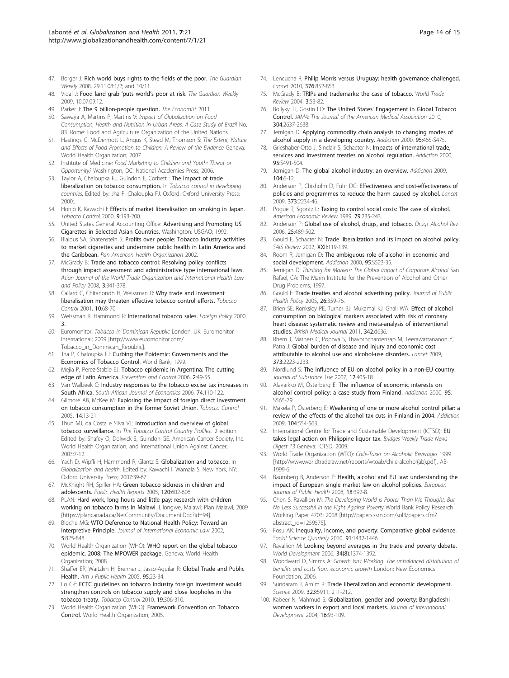- <span id="page-13-0"></span>47. Borger J: Rich world buys rights to the fields of the poor. The Guardian Weekly 2008, 29.11.08:1/2; and 10/11.
- 48. Vidal J: Food land grab 'puts world's poor at risk. The Guardian Weekly 2009, 10.07.09:12.
- 49. Parker J: The 9 billion-people question. The Economist 2011.
- 50. Sawaya A, Martins P, Martins V: Impact of Globalization on Food Consumption, Health and Nutrition in Urban Areas: A Case Study of Brazil No. 83. Rome: Food and Agriculture Organization of the United Nations.
- 51. Hastings G, McDermott L, Angus K, Stead M, Thomson S: The Extent, Nature and Effects of Food Promotion to Children: A Review of the Evidence Geneva: World Health Organization; 2007.
- 52. Institute of Medicine: Food Marketing to Children and Youth: Threat or Opportunity? Washington, DC: National Academies Press; 2006.
- 53. Taylor A, Chaloupka FJ, Guindon E, Corbett : The impact of trade liberalization on tobacco consumption. In Tobacco control in developing countries. Edited by: Jha P, Chaloupka FJ. Oxford: Oxford University Press;  $2000$
- 54. Honjo K, Kawachi I: [Effects of market liberalisation on smoking in Japan.](http://www.ncbi.nlm.nih.gov/pubmed/10841856?dopt=Abstract) Tobacco Control 2000, 9:193-200.
- 55. United States General Accounting Office: Advertising and Promoting US Cigarettes in Selected Asian Countries. Washington: USGAO; 1992.
- 56. Bialous SA, Shatenstein S: Profits over people: Tobacco industry activities to market cigarettes and undermine public health in Latin America and the Caribbean. Pan American Health Organization 2002.
- 57. McGrady B: Trade and tobacco control: Resolving policy conflicts through impact assessment and administrative type international laws. Asian Journal of the World Trade Organization and International Health Law and Policy 2008, 3:341-378.
- 58. Callard C, Chitanondh H, Weissman R: [Why trade and investment](http://www.ncbi.nlm.nih.gov/pubmed/11226365?dopt=Abstract) [liberalisation may threaten effective tobacco control efforts.](http://www.ncbi.nlm.nih.gov/pubmed/11226365?dopt=Abstract) Tobacco Control 2001, 10:68-70.
- 59. Weissman R, Hammond R: International tobacco sales. Foreign Policy 2000, 3.
- 60. Euromonitor: Tobacco in Dominican Republic London, UK: Euromonitor International; 2009 [[http://www.euromonitor.com/](http://www.euromonitor.com/Tobacco_in_Dominican_Republic) [Tobacco\\_in\\_Dominican\\_Republic\]](http://www.euromonitor.com/Tobacco_in_Dominican_Republic).
- 61. Jha P, Chaloupka FJ: Curbing the Epidemic: Governments and the Economics of Tobacco Control. World Bank; 1999.
- 62. Mejia P, Perez-Stable EJ: Tobacco epidemic in Argentina: The cutting edge of Latin America. Prevention and Control 2006, 2:49-55.
- 63. Van Walbeek C: Industry responses to the tobacco excise tax increases in South Africa. South African Journal of Economics 2006, 74:110-122.
- 64. Gilmore AB, McKee M: [Exploring the impact of foreign direct investment](http://www.ncbi.nlm.nih.gov/pubmed/15735295?dopt=Abstract) [on tobacco consumption in the former Soviet Union.](http://www.ncbi.nlm.nih.gov/pubmed/15735295?dopt=Abstract) Tobacco Control 2005, 14:13-21.
- 65. Thun MJ, da Costa e Silva VL: Introduction and overview of global tobacco surveillance. In The Tobacco Control Country Profiles.. 2 edition. Edited by: Shafey O, Dolwick S, Guindon GE. American Cancer Society, Inc. World Health Organization, and International Union Against Cancer; 2003:7-12.
- 66. Yach D, Wipfli H, Hammond R, Glantz S: Globalization and tobacco. In Globalization and health. Edited by: Kawachi I, Wamala S. New York, NY: Oxford University Press; 2007:39-67.
- 67. McKnight RH, Spiller HA: [Green tobacco sickness in children and](http://www.ncbi.nlm.nih.gov/pubmed/16350329?dopt=Abstract) [adolescents.](http://www.ncbi.nlm.nih.gov/pubmed/16350329?dopt=Abstract) Public Health Reports 2005, 120:602-606.
- 68. PLAN: Hard work, long hours and little pay: research with children working on tobacco farms in Malawi. Lilongwe, Malawi: Plan Malawi; 2009 [\[https://plancanada.ca/NetCommunity/Document.Doc?id=94](https://plancanada.ca/NetCommunity/Document.Doc?id=94)].
- 69. Bloche MG: WTO Deference to National Health Policy: Toward an Interpretive Principle. Journal of International Economic Law 2002, 5:825-848.
- 70. World Health Organization (WHO): WHO report on the global tobacco epidemic, 2008: The MPOWER package. Geneva: World Health Organization; 2008.
- 71. Shaffer ER, Waitzkin H, Brenner J, Jasso-Aquilar R: [Global Trade and Public](http://www.ncbi.nlm.nih.gov/pubmed/15623854?dopt=Abstract) [Health.](http://www.ncbi.nlm.nih.gov/pubmed/15623854?dopt=Abstract) Am J Public Health 2005, 95:23-34.
- 72. Lo C-f: [FCTC guidelines on tobacco industry foreign investment would](http://www.ncbi.nlm.nih.gov/pubmed/20472573?dopt=Abstract) [strengthen controls on tobacco supply and close loopholes in the](http://www.ncbi.nlm.nih.gov/pubmed/20472573?dopt=Abstract) [tobacco treaty.](http://www.ncbi.nlm.nih.gov/pubmed/20472573?dopt=Abstract) Tobacco Control 2010, 19:306-310.
- 73. World Health Organization (WHO): Framework Convention on Tobacco Control. World Health Organization; 2005.
- 74. Lencucha R: [Philip Morris versus Uruguay: health governance challenged.](http://www.ncbi.nlm.nih.gov/pubmed/20833287?dopt=Abstract) Lancet 2010, 376:852-853.
- 75. McGrady B: TRIPs and trademarks: the case of tobacco. World Trade Review 2004, 3:53-82.
- 76. Bollyky TJ, Gostin LO: The United States' Engagement in Global Tobacco Control. JAMA: The Journal of the American Medical Association 2010, 304:2637-2638.
- 77. Jernigan D: Applying commodity chain analysis to changing modes of alcohol supply in a developing country. Addiction 2000, 95:465-S475.
- 78. Grieshaber-Otto J, Sinclair S, Schacter N: [Impacts of international trade,](http://www.ncbi.nlm.nih.gov/pubmed/11218347?dopt=Abstract) [services and investment treaties on alcohol regulation.](http://www.ncbi.nlm.nih.gov/pubmed/11218347?dopt=Abstract) Addiction 2000, 95:S491-504.
- 79. Jernigan D: [The global alcohol industry: an overview.](http://www.ncbi.nlm.nih.gov/pubmed/19133910?dopt=Abstract) Addiction 2009, 104:6-12.
- 80. Anderson P, Chisholm D, Fuhr DC: [Effectiveness and cost-effectiveness of](http://www.ncbi.nlm.nih.gov/pubmed/19560605?dopt=Abstract) [policies and programmes to reduce the harm caused by alcohol.](http://www.ncbi.nlm.nih.gov/pubmed/19560605?dopt=Abstract) Lancet 2009, 373:2234-46.
- 81. Pogue T, Sgontz L: Taxing to control social costs: The case of alcohol. American Economic Review 1989, 79:235-243.
- 82. Anderson P: Global use of alcohol, drugs, and tobacco. Drugs Alcohol Rev 2006, 25:489-502.
- 83. Gould E, Schacter N: Trade liberalization and its impact on alcohol policy. SAIS Review 2002, XXII:119-139.
- 84. Room R, Jernigan D: [The ambiguous role of alcohol in economic and](http://www.ncbi.nlm.nih.gov/pubmed/11218349?dopt=Abstract) [social development.](http://www.ncbi.nlm.nih.gov/pubmed/11218349?dopt=Abstract) Addiction 2000, 95:S523-35.
- 85. Jernigan D: Thirsting for Markets: The Global Impact of Corporate Alcohol San Rafael, CA: The Marin Institute for the Prevention of Alcohol and Other Drug Problems; 1997.
- 86. Gould E: [Trade treaties and alcohol advertising policy.](http://www.ncbi.nlm.nih.gov/pubmed/16167562?dopt=Abstract) Journal of Public Health Policy 2005, 26:359-76.
- 87. Brien SE, Ronksley PE, Turner BJ, Mukamal KJ, Ghali WA: [Effect of alcohol](http://www.ncbi.nlm.nih.gov/pubmed/21343206?dopt=Abstract) [consumption on biological markers associated with risk of coronary](http://www.ncbi.nlm.nih.gov/pubmed/21343206?dopt=Abstract) [heart disease: systematic review and meta-analysis of interventional](http://www.ncbi.nlm.nih.gov/pubmed/21343206?dopt=Abstract) [studies.](http://www.ncbi.nlm.nih.gov/pubmed/21343206?dopt=Abstract) British Medical Journal 2011, 342:d636.
- Rhem J, Mathers C, Popova S, Thavorncharoensap M, Teerawattananon Y, Patra J: [Global burden of disease and injury and economic cost](http://www.ncbi.nlm.nih.gov/pubmed/19560604?dopt=Abstract) [attributable to alcohol use and alcohol-use disorders.](http://www.ncbi.nlm.nih.gov/pubmed/19560604?dopt=Abstract) Lancet 2009, 373:2223-2233.
- 89. Nordlund S: The influence of EU on alcohol policy in a non-EU country. Journal of Substance Use 2007, 12:405-18.
- 90. Alavaikko M, Österberg E: [The influence of economic interests on](http://www.ncbi.nlm.nih.gov/pubmed/11218352?dopt=Abstract) [alcohol control policy: a case study from Finland.](http://www.ncbi.nlm.nih.gov/pubmed/11218352?dopt=Abstract) Addiction 2000, 95: S565-79.
- 91. Mäkelä P, Österberg E: [Weakening of one or more alcohol control pillar: a](http://www.ncbi.nlm.nih.gov/pubmed/19335654?dopt=Abstract) [review of the effects of the alcohol tax cuts in Finland in 2004.](http://www.ncbi.nlm.nih.gov/pubmed/19335654?dopt=Abstract) Addiction 2009, 104:554-563.
- 92. International Centre for Trade and Sustainable Development (ICTSD): EU takes legal action on Philippine liquor tax. Bridges Weekly Trade News Digest 13 Geneva: ICTSD; 2009.
- 93. World Trade Organization (WTO): Chile-Taxes on Alcoholic Beverages 1999 [[http://www.worldtradelaw.net/reports/wtoab/chile-alcohol\(ab\).pdf\]](http://www.worldtradelaw.net/reports/wtoab/chile-alcohol(ab).pdf), AB-1999-6.
- 94. Baumberg B, Anderson P: [Health, alcohol and EU law: understanding the](http://www.ncbi.nlm.nih.gov/pubmed/18467360?dopt=Abstract) [impact of European single market law on alcohol policies.](http://www.ncbi.nlm.nih.gov/pubmed/18467360?dopt=Abstract) European Journal of Public Health 2008, 18:392-8.
- 95. Chen S, Ravallion M: The Developing World is Poorer Than We Thought, But No Less Successful in the Fight Against Poverty World Bank Policy Research Working Paper 4703; 2008 [\[http://papers.ssrn.com/sol3/papers.cfm?](http://papers.ssrn.com/sol3/papers.cfm?abstract_id=1259575) [abstract\\_id=1259575\]](http://papers.ssrn.com/sol3/papers.cfm?abstract_id=1259575).
- 96. Fosu AK: [Inequality, income, and poverty: Comparative global evidence.](http://www.ncbi.nlm.nih.gov/pubmed/21125764?dopt=Abstract) Social Science Ouarterly 2010, 91:1432-1446.
- 97. Ravallion M: Looking beyond averages in the trade and poverty debate. World Development 2006, 34(8):1374-1392.
- 98. Woodward D, Simms A: Growth Isn't Working: The unbalanced distribution of benefits and costs from economic growth London: New Economics Foundation; 2006.
- 99. Sundaram J, Arnim R: Trade liberalization and economic development. Science 2009, 323:5911, 211-212.
- 100. Kabeer N, Mahmud S: Globalization, gender and poverty: Bangladeshi women workers in export and local markets. Journal of International Development 2004, 16:93-109.